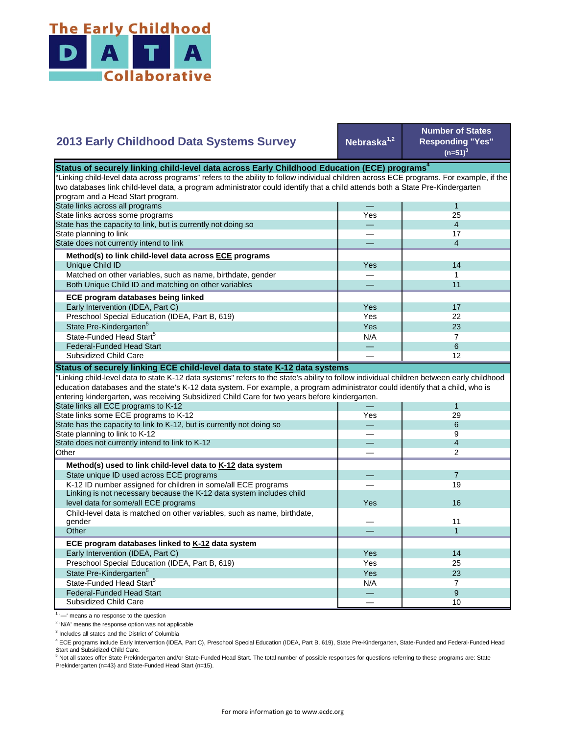

## **Nebraska1,2 Number of States Responding "Yes"**   $(n=51)^{3}$ — 1 Yes 25 — 4 — 17 — 4 Yes **I** 14 — 1 — 11 Yes I 17 Yes 22  $Yes$  23  $N/A$  7 State Pre-Kindergarten<sup>5</sup> State-Funded Head Start<sup>5</sup> Matched on other variables, such as name, birthdate, gender Both Unique Child ID and matching on other variables  **ECE program databases being linked**  Early Intervention (IDEA, Part C) Preschool Special Education (IDEA, Part B, 619) State has the capacity to link, but is currently not doing so State planning to link State does not currently intend to link  **Method(s) to link child-level data across ECE programs** Unique Child ID **2013 Early Childhood Data Systems Survey** Status of securely linking child-level data across Early Childhood Education (ECE) programs<sup>4</sup> "Linking child-level data across programs" refers to the ability to follow individual children across ECE programs. For example, if the two databases link child-level data, a program administrator could identify that a child attends both a State Pre-Kindergarten program and a Head Start program. State links across all programs State links across some programs — 6 — 12 — 1 Yes 29 — 6 — 9 — 4 — 2 — 7 — 19 Yes — 11 — 1 Yes I 14 Yes 25 Yes 23  $N/A$  7 — 9 — 10 Preschool Special Education (IDEA, Part B, 619) State Pre-Kindergarten<sup>5</sup> State-Funded Head Start<sup>5</sup> Federal-Funded Head Start Subsidized Child Care Child-level data is matched on other variables, such as name, birthdate, gender **Other ECE program databases linked to K-12 data system** Early Intervention (IDEA, Part C) **Other Method(s) used to link child-level data to K-12 data system** State unique ID used across ECE programs K-12 ID number assigned for children in some/all ECE programs Linking is not necessary because the K-12 data system includes child level data for some/all ECE programs 16 and 200 minutes and 200 minutes of the state of the state of the state of the state of the state of the state of the state of the state of the state of the state of the state of the "Linking child-level data to state K-12 data systems" refers to the state's ability to follow individual children between early childhood education databases and the state's K-12 data system. For example, a program administrator could identify that a child, who is entering kindergarten, was receiving Subsidized Child Care for two years before kindergarten. State links all ECE programs to K-12 State links some ECE programs to K-12 State has the capacity to link to K-12, but is currently not doing so State planning to link to K-12 State does not currently intend to link to K-12 Federal-Funded Head Start Subsidized Child Care **Status of securely linking ECE child-level data to state K-12 data systems**

<sup>1</sup> '-' means a no response to the question

<sup>2</sup> 'N/A' means the response option was not applicable

<sup>3</sup> Includes all states and the District of Columbia

<sup>4</sup> ECE programs include Early Intervention (IDEA, Part C), Preschool Special Education (IDEA, Part B, 619), State Pre-Kindergarten, State-Funded and Federal-Funded Head Start and Subsidized Child Care.

<sup>5</sup> Not all states offer State Prekindergarten and/or State-Funded Head Start. The total number of possible responses for questions referring to these programs are: State Prekindergarten (n=43) and State-Funded Head Start (n=15).